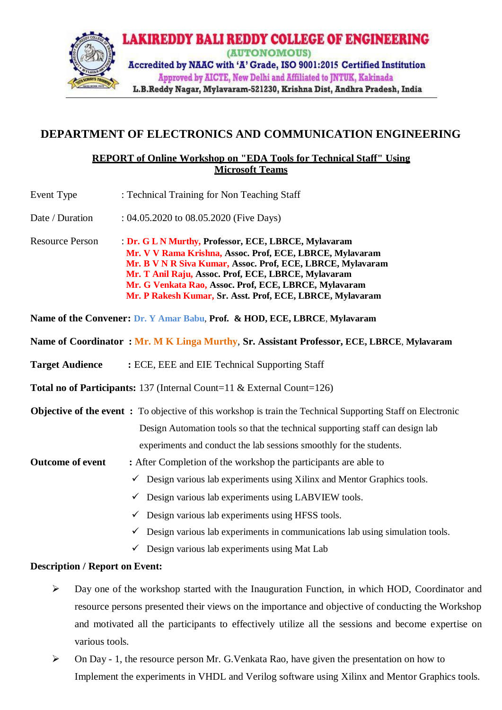

## **DEPARTMENT OF ELECTRONICS AND COMMUNICATION ENGINEERING**

## **REPORT of Online Workshop on "EDA Tools for Technical Staff" Using Microsoft Teams**

| Event Type                                                                                | : Technical Training for Non Teaching Staff                                                                                                                                                                                                                                                                                                                                                                                                                                                                                                                                                                                                    |  |
|-------------------------------------------------------------------------------------------|------------------------------------------------------------------------------------------------------------------------------------------------------------------------------------------------------------------------------------------------------------------------------------------------------------------------------------------------------------------------------------------------------------------------------------------------------------------------------------------------------------------------------------------------------------------------------------------------------------------------------------------------|--|
| Date / Duration                                                                           | : 04.05.2020 to 08.05.2020 (Five Days)                                                                                                                                                                                                                                                                                                                                                                                                                                                                                                                                                                                                         |  |
| <b>Resource Person</b>                                                                    | : Dr. G L N Murthy, Professor, ECE, LBRCE, Mylavaram<br>Mr. V V Rama Krishna, Assoc. Prof, ECE, LBRCE, Mylavaram<br>Mr. B V N R Siva Kumar, Assoc. Prof, ECE, LBRCE, Mylavaram<br>Mr. T Anil Raju, Assoc. Prof, ECE, LBRCE, Mylavaram<br>Mr. G Venkata Rao, Assoc. Prof, ECE, LBRCE, Mylavaram<br>Mr. P Rakesh Kumar, Sr. Asst. Prof, ECE, LBRCE, Mylavaram                                                                                                                                                                                                                                                                                    |  |
| Name of the Convener: Dr. Y Amar Babu, Prof. & HOD, ECE, LBRCE, Mylavaram                 |                                                                                                                                                                                                                                                                                                                                                                                                                                                                                                                                                                                                                                                |  |
| Name of Coordinator: Mr. M K Linga Murthy, Sr. Assistant Professor, ECE, LBRCE, Mylavaram |                                                                                                                                                                                                                                                                                                                                                                                                                                                                                                                                                                                                                                                |  |
| <b>Target Audience</b>                                                                    | : ECE, EEE and EIE Technical Supporting Staff                                                                                                                                                                                                                                                                                                                                                                                                                                                                                                                                                                                                  |  |
| <b>Total no of Participants:</b> 137 (Internal Count=11 & External Count=126)             |                                                                                                                                                                                                                                                                                                                                                                                                                                                                                                                                                                                                                                                |  |
| <b>Outcome of event</b>                                                                   | <b>Objective of the event:</b> To objective of this workshop is train the Technical Supporting Staff on Electronic<br>Design Automation tools so that the technical supporting staff can design lab<br>experiments and conduct the lab sessions smoothly for the students.<br>: After Completion of the workshop the participants are able to<br>$\checkmark$ Design various lab experiments using Xilinx and Mentor Graphics tools.<br>Design various lab experiments using LABVIEW tools.<br>✓<br>Design various lab experiments using HFSS tools.<br>✓<br>Design various lab experiments in communications lab using simulation tools.<br>✓ |  |
|                                                                                           | $\checkmark$ Design various lab experiments using Mat Lab                                                                                                                                                                                                                                                                                                                                                                                                                                                                                                                                                                                      |  |
| <b>Description / Report on Event:</b>                                                     |                                                                                                                                                                                                                                                                                                                                                                                                                                                                                                                                                                                                                                                |  |

- $\triangleright$  Day one of the workshop started with the Inauguration Function, in which HOD, Coordinator and resource persons presented their views on the importance and objective of conducting the Workshop and motivated all the participants to effectively utilize all the sessions and become expertise on various tools.
- $\triangleright$  On Day 1, the resource person Mr. G. Venkata Rao, have given the presentation on how to Implement the experiments in VHDL and Verilog software using Xilinx and Mentor Graphics tools.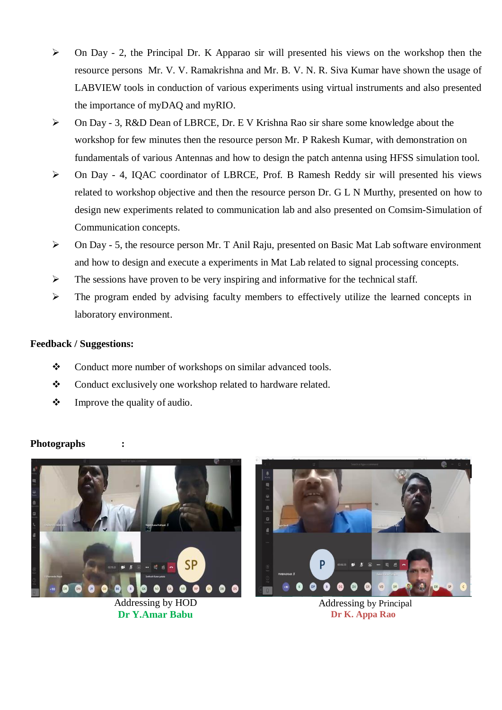- $\triangleright$  On Day 2, the Principal Dr. K Apparao sir will presented his views on the workshop then the resource persons Mr. V. V. Ramakrishna and Mr. B. V. N. R. Siva Kumar have shown the usage of LABVIEW tools in conduction of various experiments using virtual instruments and also presented the importance of myDAQ and myRIO.
- On Day 3, R&D Dean of LBRCE, Dr. E V Krishna Rao sir share some knowledge about the workshop for few minutes then the resource person Mr. P Rakesh Kumar, with demonstration on fundamentals of various Antennas and how to design the patch antenna using HFSS simulation tool.
- On Day 4, IQAC coordinator of LBRCE, Prof. B Ramesh Reddy sir will presented his views related to workshop objective and then the resource person Dr. G L N Murthy, presented on how to design new experiments related to communication lab and also presented on Comsim-Simulation of Communication concepts.
- $\triangleright$  On Day 5, the resource person Mr. T Anil Raju, presented on Basic Mat Lab software environment and how to design and execute a experiments in Mat Lab related to signal processing concepts.
- $\triangleright$  The sessions have proven to be very inspiring and informative for the technical staff.
- $\triangleright$  The program ended by advising faculty members to effectively utilize the learned concepts in laboratory environment.

## **Feedback / Suggestions:**

- Conduct more number of workshops on similar advanced tools.
- \* Conduct exclusively one workshop related to hardware related.
- $\triangleleft$  Improve the quality of audio.



![](_page_1_Picture_11.jpeg)

Addressing by Principal **Dr K. Appa Rao**

## **Photographs :**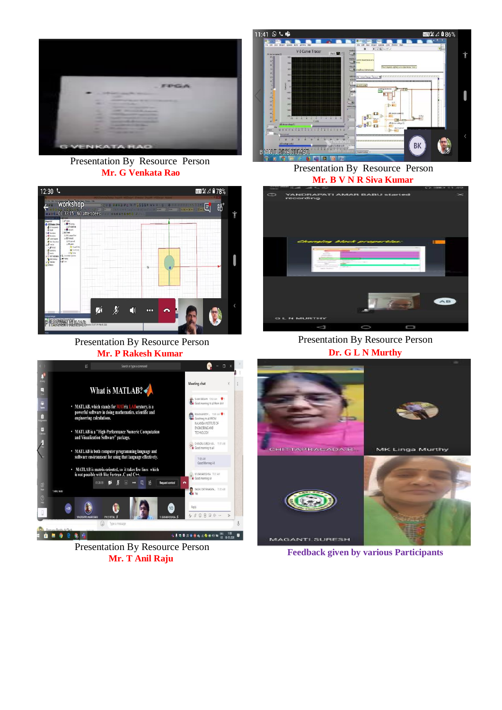![](_page_2_Picture_0.jpeg)

Presentation By Resource Person

![](_page_2_Figure_2.jpeg)

Presentation By Resource Person **Mr. P Rakesh Kumar**

![](_page_2_Picture_4.jpeg)

**Mr. G Venkata Rao** Presentation By Resource Person **Mr. B V N R Siva Kumar**

![](_page_2_Picture_6.jpeg)

Presentation By Resource Person **Dr. G L N Murthy**

![](_page_2_Picture_8.jpeg)

Presentation By Resource Person

**Mr. T Anil Raju Feedback given by various Participants**